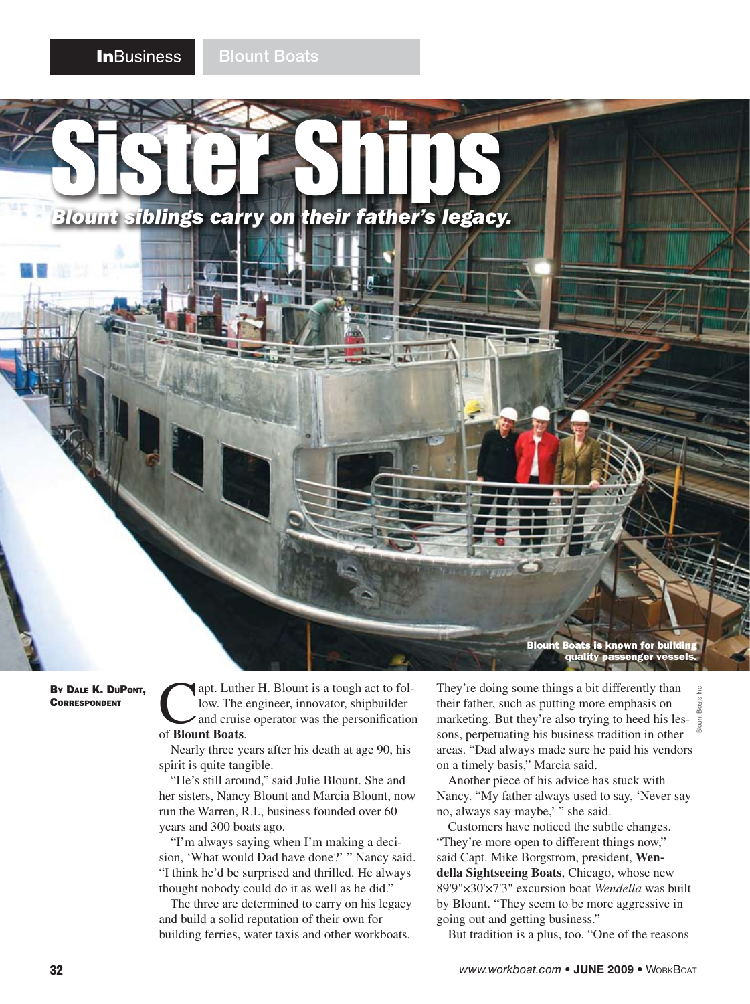SISTER Ships

*Blount siblings carry on their father's legacy.*

**LIV** 



By Dale K. DuPont, **CORRESPONDENT** 

apt. Luther H. Blount is a tough act to follow. The engineer, innovator, shipbuilder and cruise operator was the personification of **Blount Boats**.

Nearly three years after his death at age 90, his spirit is quite tangible.

"He's still around," said Julie Blount. She and her sisters, Nancy Blount and Marcia Blount, now run the Warren, R.I., business founded over 60 years and 300 boats ago.

"I'm always saying when I'm making a decision, 'What would Dad have done?' " Nancy said. "I think he'd be surprised and thrilled. He always thought nobody could do it as well as he did."

The three are determined to carry on his legacy and build a solid reputation of their own for building ferries, water taxis and other workboats.

They're doing some things a bit differently than their father, such as putting more emphasis on marketing. But they're also trying to heed his lessons, perpetuating his business tradition in other areas. "Dad always made sure he paid his vendors on a timely basis," Marcia said. Blount Boats Inc.

Another piece of his advice has stuck with Nancy. "My father always used to say, 'Never say no, always say maybe,' " she said.

Customers have noticed the subtle changes. "They're more open to different things now," said Capt. Mike Borgstrom, president, **Wendella Sightseeing Boats**, Chicago, whose new 89'9"×30'×7'3" excursion boat *Wendella* was built by Blount. "They seem to be more aggressive in going out and getting business."

But tradition is a plus, too. "One of the reasons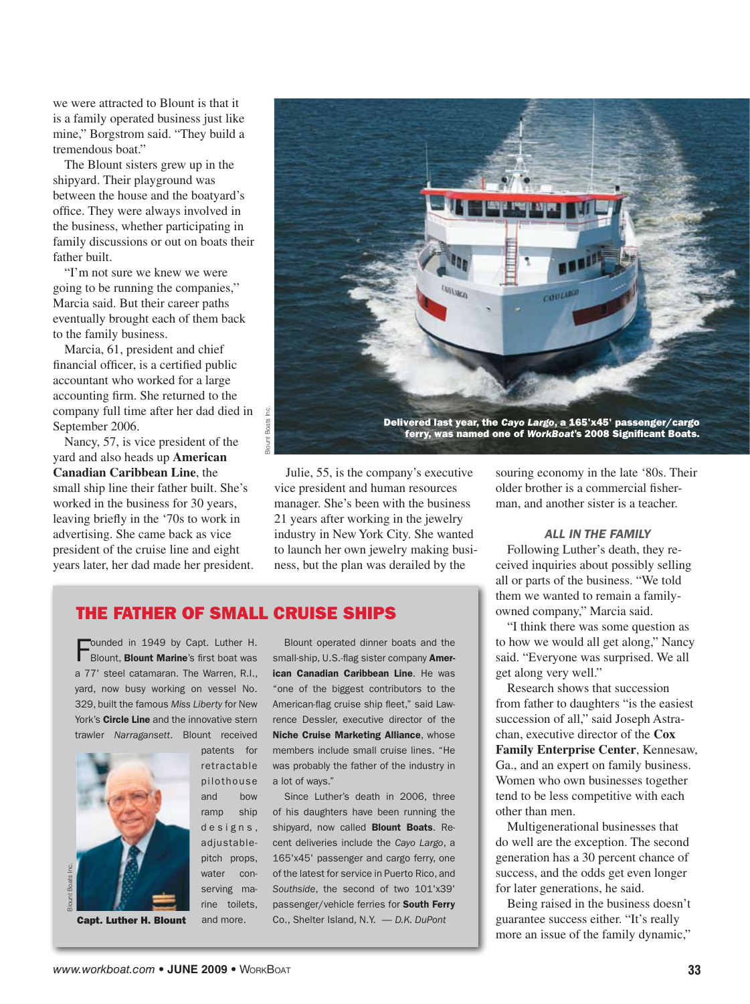we were attracted to Blount is that it is a family operated business just like mine," Borgstrom said. "They build a tremendous boat."

The Blount sisters grew up in the shipyard. Their playground was between the house and the boatyard's office. They were always involved in the business, whether participating in family discussions or out on boats their father built.

"I'm not sure we knew we were going to be running the companies,'' Marcia said. But their career paths eventually brought each of them back to the family business.

Marcia, 61, president and chief financial officer, is a certified public accountant who worked for a large accounting firm. She returned to the company full time after her dad died in September 2006.

Nancy, 57, is vice president of the yard and also heads up **American Canadian Caribbean Line**, the small ship line their father built. She's worked in the business for 30 years, leaving briefly in the '70s to work in advertising. She came back as vice president of the cruise line and eight years later, her dad made her president.



Julie, 55, is the company's executive vice president and human resources manager. She's been with the business 21 years after working in the jewelry industry in New York City. She wanted to launch her own jewelry making business, but the plan was derailed by the

# THE FATHER OF SMALL CRUISE SHIPS

Founded in 1949 by Capt. Luther H.<br>Blount, **Blount Marine**'s first boat was a 77' steel catamaran. The Warren, R.I., yard, now busy working on vessel No. 329, built the famous *Miss Liberty* for New York's Circle Line and the innovative stern trawler *Narragansett*. Blount received



patents for retractable pilothouse and bow ramp ship designs, adjustablepitch props, water conserving marine toilets, and more.

Capt. Luther H. Blount

Blount operated dinner boats and the small-ship, U.S.-flag sister company **Amer**ican Canadian Caribbean Line. He was "one of the biggest contributors to the American-flag cruise ship fleet," said Lawrence Dessler, executive director of the Niche Cruise Marketing Alliance, whose members include small cruise lines. "He was probably the father of the industry in a lot of ways."

Since Luther's death in 2006, three of his daughters have been running the shipvard, now called **Blount Boats**. Recent deliveries include the *Cayo Largo*, a 165'x45' passenger and cargo ferry, one of the latest for service in Puerto Rico, and *Southside*, the second of two 101'x39' passenger/vehicle ferries for South Ferry Co., Shelter Island, N.Y. — *D.K. DuPont*

souring economy in the late '80s. Their older brother is a commercial fisherman, and another sister is a teacher.

### *ALL IN THE FAMILY*

Following Luther's death, they received inquiries about possibly selling all or parts of the business. "We told them we wanted to remain a familyowned company," Marcia said.

"I think there was some question as to how we would all get along," Nancy said. "Everyone was surprised. We all get along very well."

Research shows that succession from father to daughters "is the easiest succession of all," said Joseph Astrachan, executive director of the **Cox Family Enterprise Center**, Kennesaw, Ga., and an expert on family business. Women who own businesses together tend to be less competitive with each other than men.

Multigenerational businesses that do well are the exception. The second generation has a 30 percent chance of success, and the odds get even longer for later generations, he said.

Being raised in the business doesn't guarantee success either. "It's really more an issue of the family dynamic,"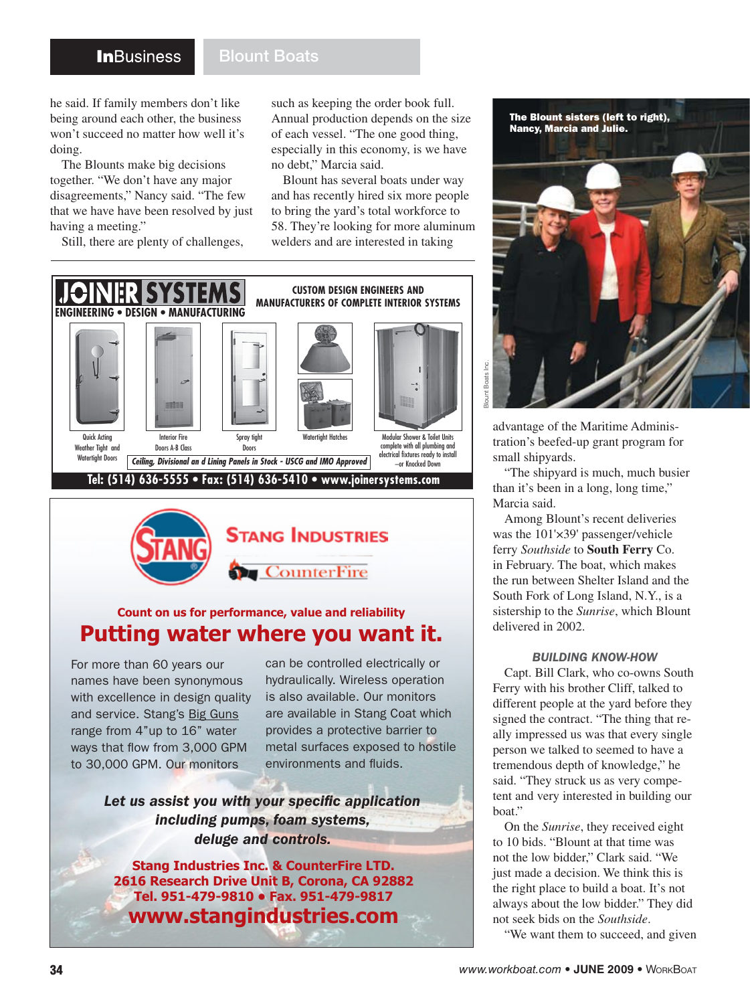## **In**Business

## Blount Boats

he said. If family members don't like being around each other, the business won't succeed no matter how well it's doing.

The Blounts make big decisions together. "We don't have any major disagreements," Nancy said. "The few that we have have been resolved by just having a meeting."

Still, there are plenty of challenges,

such as keeping the order book full. Annual production depends on the size of each vessel. "The one good thing, especially in this economy, is we have no debt," Marcia said.

Blount has several boats under way and has recently hired six more people to bring the yard's total workforce to 58. They're looking for more aluminum welders and are interested in taking





# **Count on us for performance, value and reliability Putting water where you want it.**

For more than 60 years our names have been synonymous with excellence in design quality and service. Stang's Big Guns range from 4"up to 16" water ways that flow from 3,000 GPM to 30,000 GPM. Our monitors

can be controlled electrically or hydraulically. Wireless operation is also available. Our monitors are available in Stang Coat which provides a protective barrier to metal surfaces exposed to hostile environments and fluids.

*Let us assist you with your specific application including pumps, foam systems, deluge and controls.*

**Stang Industries Inc. & CounterFire LTD. 2616 Research Drive Unit B, Corona, CA 92882 Tel. 951-479-9810 • Fax. 951-479-9817 www.stangindustries.com**



advantage of the Maritime Administration's beefed-up grant program for small shipyards.

"The shipyard is much, much busier than it's been in a long, long time," Marcia said.

Among Blount's recent deliveries was the 101'×39' passenger/vehicle ferry *Southside* to **South Ferry** Co. in February. The boat, which makes the run between Shelter Island and the South Fork of Long Island, N.Y., is a sistership to the *Sunrise*, which Blount delivered in 2002.

#### *BUILDING KNOW-HOW*

Capt. Bill Clark, who co-owns South Ferry with his brother Cliff, talked to different people at the yard before they signed the contract. "The thing that really impressed us was that every single person we talked to seemed to have a tremendous depth of knowledge," he said. "They struck us as very competent and very interested in building our boat."

On the *Sunrise*, they received eight to 10 bids. "Blount at that time was not the low bidder," Clark said. "We just made a decision. We think this is the right place to build a boat. It's not always about the low bidder." They did not seek bids on the *Southside*.

"We want them to succeed, and given